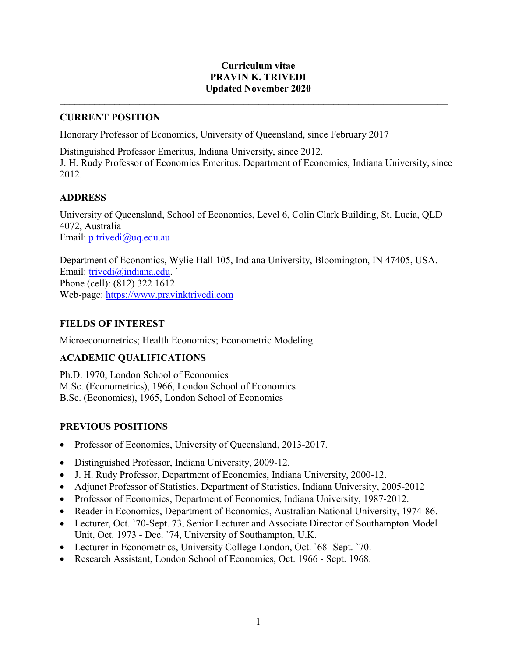### **Curriculum vitae PRAVIN K. TRIVEDI Updated November 2020**

**\_\_\_\_\_\_\_\_\_\_\_\_\_\_\_\_\_\_\_\_\_\_\_\_\_\_\_\_\_\_\_\_\_\_\_\_\_\_\_\_\_\_\_\_\_\_\_\_\_\_\_\_\_\_\_\_\_\_\_\_\_\_\_\_\_\_\_\_\_\_\_\_\_\_\_\_\_\_**

### **CURRENT POSITION**

Honorary Professor of Economics, University of Queensland, since February 2017

Distinguished Professor Emeritus, Indiana University, since 2012. J. H. Rudy Professor of Economics Emeritus. Department of Economics, Indiana University, since 2012.

### **ADDRESS**

University of Queensland, School of Economics, Level 6, Colin Clark Building, St. Lucia, QLD 4072, Australia Email: p.trivedi@uq.edu.au

Department of Economics, Wylie Hall 105, Indiana University, Bloomington, IN 47405, USA. Email: trivedi@indiana.edu. ` Phone (cell): (812) 322 1612 Web-page: [https://www.pravinktrivedi.com](https://www.pravinktrivedi.com/)

## **FIELDS OF INTEREST**

Microeconometrics; Health Economics; Econometric Modeling.

# **ACADEMIC QUALIFICATIONS**

Ph.D. 1970, London School of Economics M.Sc. (Econometrics), 1966, London School of Economics B.Sc. (Economics), 1965, London School of Economics

# **PREVIOUS POSITIONS**

- Professor of Economics, University of Queensland, 2013-2017.
- Distinguished Professor, Indiana University, 2009-12.
- J. H. Rudy Professor, Department of Economics, Indiana University, 2000-12.
- Adjunct Professor of Statistics. Department of Statistics, Indiana University, 2005-2012
- Professor of Economics, Department of Economics, Indiana University, 1987-2012.
- Reader in Economics, Department of Economics, Australian National University, 1974-86.
- Lecturer, Oct. `70-Sept. 73, Senior Lecturer and Associate Director of Southampton Model Unit, Oct. 1973 - Dec. `74, University of Southampton, U.K.
- Lecturer in Econometrics, University College London, Oct. `68 -Sept. `70.
- Research Assistant, London School of Economics, Oct. 1966 Sept. 1968.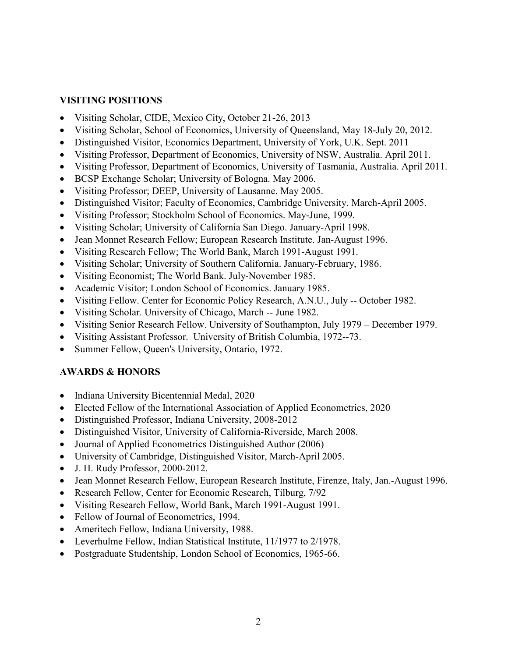### **VISITING POSITIONS**

- Visiting Scholar, CIDE, Mexico City, October 21-26, 2013
- Visiting Scholar, School of Economics, University of Queensland, May 18-July 20, 2012.
- Distinguished Visitor, Economics Department, University of York, U.K. Sept. 2011
- Visiting Professor, Department of Economics, University of NSW, Australia. April 2011.
- Visiting Professor, Department of Economics, University of Tasmania, Australia. April 2011.
- BCSP Exchange Scholar; University of Bologna. May 2006.
- Visiting Professor; DEEP, University of Lausanne. May 2005.
- Distinguished Visitor; Faculty of Economics, Cambridge University. March-April 2005.
- Visiting Professor; Stockholm School of Economics. May-June, 1999.
- Visiting Scholar; University of California San Diego. January-April 1998.
- Jean Monnet Research Fellow; European Research Institute. Jan-August 1996.
- Visiting Research Fellow; The World Bank, March 1991-August 1991.
- Visiting Scholar; University of Southern California. January-February, 1986.
- Visiting Economist; The World Bank. July-November 1985.
- Academic Visitor; London School of Economics. January 1985.
- Visiting Fellow. Center for Economic Policy Research, A.N.U., July -- October 1982.
- Visiting Scholar. University of Chicago, March -- June 1982.
- Visiting Senior Research Fellow. University of Southampton, July 1979 December 1979.
- Visiting Assistant Professor. University of British Columbia, 1972--73.
- Summer Fellow, Queen's University, Ontario, 1972.

## **AWARDS & HONORS**

- Indiana University Bicentennial Medal, 2020
- Elected Fellow of the International Association of Applied Econometrics, 2020
- Distinguished Professor, Indiana University, 2008-2012
- Distinguished Visitor, University of California-Riverside, March 2008.
- Journal of Applied Econometrics Distinguished Author (2006)
- University of Cambridge, Distinguished Visitor, March-April 2005.
- J. H. Rudy Professor, 2000-2012.
- Jean Monnet Research Fellow, European Research Institute, Firenze, Italy, Jan.-August 1996.
- Research Fellow, Center for Economic Research, Tilburg, 7/92
- Visiting Research Fellow, World Bank, March 1991-August 1991.
- Fellow of Journal of Econometrics, 1994.
- Ameritech Fellow, Indiana University, 1988.
- Leverhulme Fellow, Indian Statistical Institute, 11/1977 to 2/1978.
- Postgraduate Studentship, London School of Economics, 1965-66.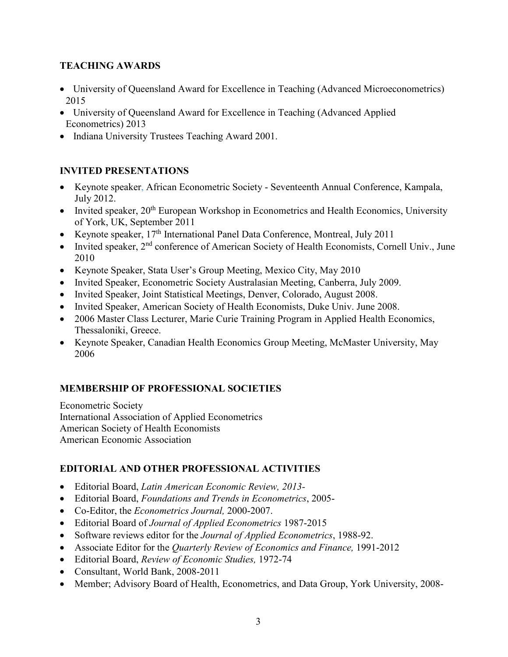## **TEACHING AWARDS**

- University of Queensland Award for Excellence in Teaching (Advanced Microeconometrics) 2015
- University of Queensland Award for Excellence in Teaching (Advanced Applied Econometrics) 2013
- Indiana University Trustees Teaching Award 2001.

# **INVITED PRESENTATIONS**

- Keynote speaker, African Econometric Society Seventeenth Annual Conference, Kampala, July 2012.
- Invited speaker,  $20<sup>th</sup>$  European Workshop in Econometrics and Health Economics, University of York, UK, September 2011
- Keynote speaker,  $17<sup>th</sup>$  International Panel Data Conference, Montreal, July 2011
- Invited speaker, 2<sup>nd</sup> conference of American Society of Health Economists, Cornell Univ., June 2010
- Keynote Speaker, Stata User's Group Meeting, Mexico City, May 2010
- Invited Speaker, Econometric Society Australasian Meeting, Canberra, July 2009.
- Invited Speaker, Joint Statistical Meetings, Denver, Colorado, August 2008.
- Invited Speaker, American Society of Health Economists, Duke Univ. June 2008.
- 2006 Master Class Lecturer, Marie Curie Training Program in Applied Health Economics, Thessaloniki, Greece.
- Keynote Speaker, Canadian Health Economics Group Meeting, McMaster University, May 2006

# **MEMBERSHIP OF PROFESSIONAL SOCIETIES**

Econometric Society International Association of Applied Econometrics American Society of Health Economists American Economic Association

# **EDITORIAL AND OTHER PROFESSIONAL ACTIVITIES**

- Editorial Board, *Latin American Economic Review, 2013-*
- Editorial Board, *Foundations and Trends in Econometrics*, 2005-
- Co-Editor, the *Econometrics Journal,* 2000-2007.
- Editorial Board of *Journal of Applied Econometrics* 1987-2015
- Software reviews editor for the *Journal of Applied Econometrics*, 1988-92.
- Associate Editor for the *Quarterly Review of Economics and Finance,* 1991-2012
- Editorial Board, *Review of Economic Studies,* 1972-74
- Consultant, World Bank, 2008-2011
- Member; Advisory Board of Health, Econometrics, and Data Group, York University, 2008-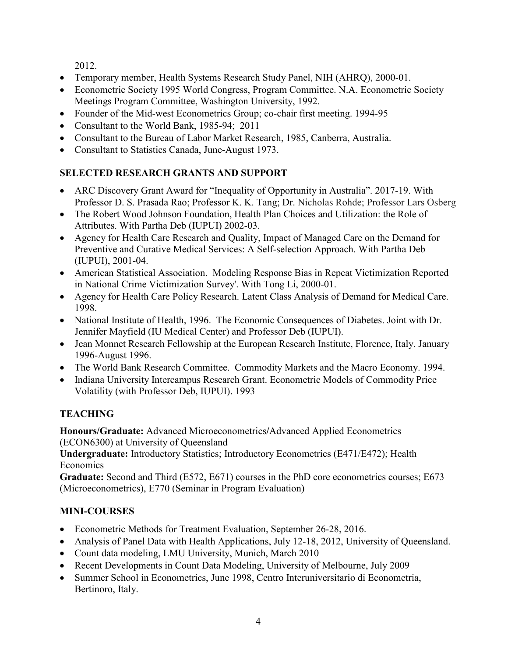2012.

- Temporary member, Health Systems Research Study Panel, NIH (AHRQ), 2000-01.
- Econometric Society 1995 World Congress, Program Committee. N.A. Econometric Society Meetings Program Committee, Washington University, 1992.
- Founder of the Mid-west Econometrics Group; co-chair first meeting. 1994-95
- Consultant to the World Bank, 1985-94; 2011
- Consultant to the Bureau of Labor Market Research, 1985, Canberra, Australia.
- Consultant to Statistics Canada, June-August 1973.

# **SELECTED RESEARCH GRANTS AND SUPPORT**

- ARC Discovery Grant Award for "Inequality of Opportunity in Australia". 2017-19. With Professor D. S. Prasada Rao; Professor K. K. Tang; Dr. Nicholas Rohde; Professor Lars Osberg
- The Robert Wood Johnson Foundation, Health Plan Choices and Utilization: the Role of Attributes. With Partha Deb (IUPUI) 2002-03.
- Agency for Health Care Research and Quality, Impact of Managed Care on the Demand for Preventive and Curative Medical Services: A Self-selection Approach. With Partha Deb (IUPUI), 2001-04.
- American Statistical Association. Modeling Response Bias in Repeat Victimization Reported in National Crime Victimization Survey'. With Tong Li, 2000-01.
- Agency for Health Care Policy Research. Latent Class Analysis of Demand for Medical Care. 1998.
- National Institute of Health, 1996. The Economic Consequences of Diabetes. Joint with Dr. Jennifer Mayfield (IU Medical Center) and Professor Deb (IUPUI).
- Jean Monnet Research Fellowship at the European Research Institute, Florence, Italy. January 1996-August 1996.
- The World Bank Research Committee. Commodity Markets and the Macro Economy. 1994.
- Indiana University Intercampus Research Grant. Econometric Models of Commodity Price Volatility (with Professor Deb, IUPUI). 1993

# **TEACHING**

**Honours/Graduate:** Advanced Microeconometrics**/**Advanced Applied Econometrics (ECON6300) at University of Queensland

**Undergraduate:** Introductory Statistics; Introductory Econometrics (E471/E472); Health **Economics** 

**Graduate:** Second and Third (E572, E671) courses in the PhD core econometrics courses; E673 (Microeconometrics), E770 (Seminar in Program Evaluation)

# **MINI-COURSES**

- Econometric Methods for Treatment Evaluation, September 26-28, 2016.
- Analysis of Panel Data with Health Applications, July 12-18, 2012, University of Queensland.
- Count data modeling, LMU University, Munich, March 2010
- Recent Developments in Count Data Modeling, University of Melbourne, July 2009
- Summer School in Econometrics, June 1998, Centro Interuniversitario di Econometria, Bertinoro, Italy.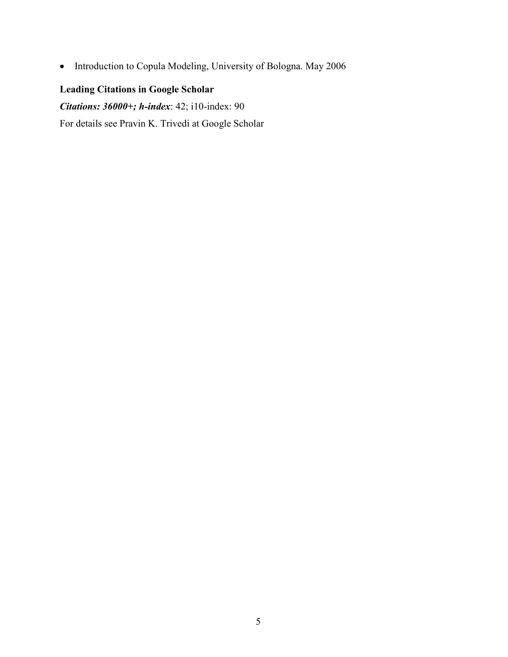• Introduction to Copula Modeling, University of Bologna. May 2006

# **Leading Citations in Google Scholar**

*Citations: 36000+; h-index*: 42; i10-index: 90

For details see Pravin K. Trivedi at Google Scholar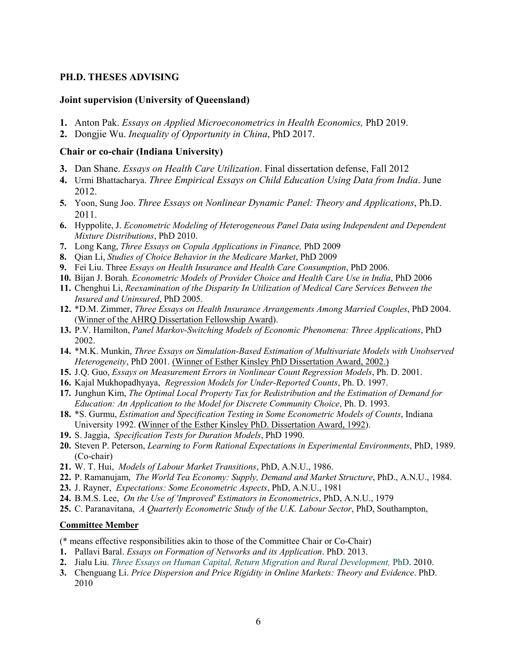### **PH.D. THESES ADVISING**

### **Joint supervision (University of Queensland)**

- **1.** Anton Pak. *Essays on Applied Microeconometrics in Health Economics,* PhD 2019.
- **2.** Dongjie Wu. *Inequality of Opportunity in China*, PhD 2017.

### **Chair or co-chair (Indiana University)**

- **3.** Dan Shane. *Essays on Health Care Utilization*. Final dissertation defense, Fall 2012
- **4.** Urmi Bhattacharya. *Three Empirical Essays on Child Education Using Data from India*. June 2012.
- **5.** Yoon, Sung Joo. *Three Essays on Nonlinear Dynamic Panel: Theory and Applications*, Ph.D. 2011.
- **6.** Hyppolite, J. *Econometric Modeling of Heterogeneous Panel Data using Independent and Dependent Mixture Distributions*, PhD 2010.
- **7.** Long Kang, *Three Essays on Copula Applications in Finance,* PhD 2009
- **8.** Qian Li, *Studies of Choice Behavior in the Medicare Market*, PhD 2009
- **9.** Fei Liu. Three *Essays on Health Insurance and Health Care Consumption*, PhD 2006.
- **10.** Bijan J. Borah*. Econometric Models of Provider Choice and Health Care Use in India*, PhD 2006
- **11.** Chenghui Li, *Reexamination of the Disparity In Utilization of Medical Care Services Between the Insured and Uninsured*, PhD 2005.
- **12.** \*D.M. Zimmer, *Three Essays on Health Insurance Arrangements Among Married Couples*, PhD 2004. (Winner of the AHRQ Dissertation Fellowship Award).
- **13.** P.V. Hamilton, *Panel Markov-Switching Models of Economic Phenomena: Three Applications*, PhD 2002.
- **14.** \*M.K. Munkin, *Three Essays on Simulation-Based Estimation of Multivariate Models with Unobserved Heterogeneity*, PhD 2001. (Winner of Esther Kinsley PhD Dissertation Award, 2002.)
- **15.** J.Q. Guo, *Essays on Measurement Errors in Nonlinear Count Regression Models*, Ph. D. 2001.
- **16.** Kajal Mukhopadhyaya, *Regression Models for Under-Reported Counts*, Ph. D. 1997.
- **17.** Junghun Kim, *The Optimal Local Property Tax for Redistribution and the Estimation of Demand for Education: An Application to the Model for Discrete Community Choice*, Ph. D. 1993.
- **18.** \*S. Gurmu, *Estimation and Specification Testing in Some Econometric Models of Counts*, Indiana University 1992. **(**Winner of the Esther Kinsley PhD. Dissertation Award, 1992).
- **19.** S. Jaggia, *Specification Tests for Duration Models*, PhD 1990.
- **20.** Steven P. Peterson, *Learning to Form Rational Expectations in Experimental Environments*, PhD, 1989. (Co-chair)
- **21.** W. T. Hui, *Models of Labour Market Transitions*, PhD, A.N.U., 1986.
- **22.** P. Ramanujam, *The World Tea Economy: Supply, Demand and Market Structure*, PhD., A.N.U., 1984.
- **23.** J. Rayner, *Expectations: Some Econometric Aspects*, PhD, A.N.U., 1981
- **24.** B.M.S. Lee, *On the Use of 'Improved' Estimators in Econometrics*, PhD, A.N.U., 1979
- **25.** C. Paranavitana, *A Quarterly Econometric Study of the U.K. Labour Sector*, PhD, Southampton,

#### **Committee Member**

(\* means effective responsibilities akin to those of the Committee Chair or Co-Chair)

- **1.** Pallavi Baral. *Essays on Formation of Networks and its Application*. PhD. 2013.
- **2.** Jialu Liu. *Three Essays on Human Capital, Return Migration and Rural Development,* PhD. 2010.
- **3.** Chenguang Li. *Price Dispersion and Price Rigidity in Online Markets: Theory and Evidence*. PhD. 2010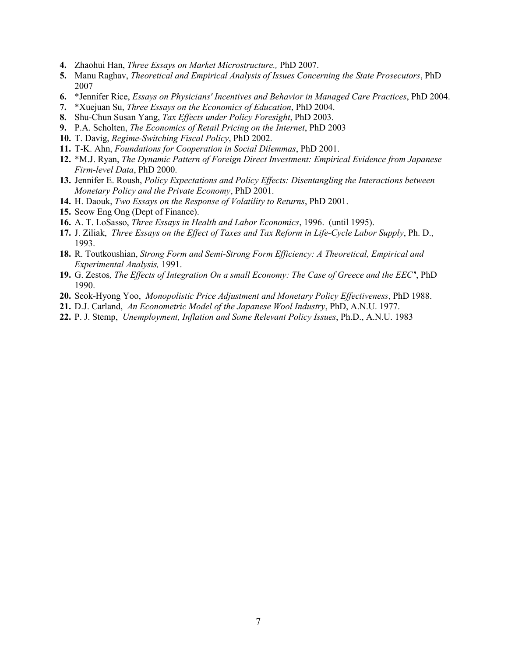- **4.** Zhaohui Han, *Three Essays on Market Microstructure.,* PhD 2007.
- **5.** Manu Raghav, *Theoretical and Empirical Analysis of Issues Concerning the State Prosecutors*, PhD 2007
- **6.** \*Jennifer Rice, *Essays on Physicians' Incentives and Behavior in Managed Care Practices*, PhD 2004.
- **7.** \*Xuejuan Su, *Three Essays on the Economics of Education*, PhD 2004.
- **8.** Shu-Chun Susan Yang, *Tax Effects under Policy Foresight*, PhD 2003.
- **9.** P.A. Scholten, *The Economics of Retail Pricing on the Internet*, PhD 2003
- **10.** T. Davig, *Regime-Switching Fiscal Policy*, PhD 2002.
- **11.** T-K. Ahn, *Foundations for Cooperation in Social Dilemmas*, PhD 2001.
- **12.** \*M.J. Ryan, *The Dynamic Pattern of Foreign Direct Investment: Empirical Evidence from Japanese Firm-level Data*, PhD 2000.
- **13.** Jennifer E. Roush, *Policy Expectations and Policy Effects: Disentangling the Interactions between Monetary Policy and the Private Economy*, PhD 2001.
- **14.** H. Daouk, *Two Essays on the Response of Volatility to Returns*, PhD 2001.
- **15.** Seow Eng Ong (Dept of Finance).
- **16.** A. T. LoSasso, *Three Essays in Health and Labor Economics*, 1996. (until 1995).
- **17.** J. Ziliak, *Three Essays on the Effect of Taxes and Tax Reform in Life-Cycle Labor Supply*, Ph. D., 1993.
- **18.** R. Toutkoushian, *Strong Form and Semi-Strong Form Efficiency: A Theoretical, Empirical and Experimental Analysis,* 1991.
- **19.** G. Zestos*, The Effects of Integration On a small Economy: The Case of Greece and the EEC'*', PhD 1990.
- **20.** Seok-Hyong Yoo, *Monopolistic Price Adjustment and Monetary Policy Effectiveness*, PhD 1988.
- **21.** D.J. Carland, *An Econometric Model of the Japanese Wool Industry*, PhD, A.N.U. 1977.
- **22.** P. J. Stemp, *Unemployment, Inflation and Some Relevant Policy Issues*, Ph.D., A.N.U. 1983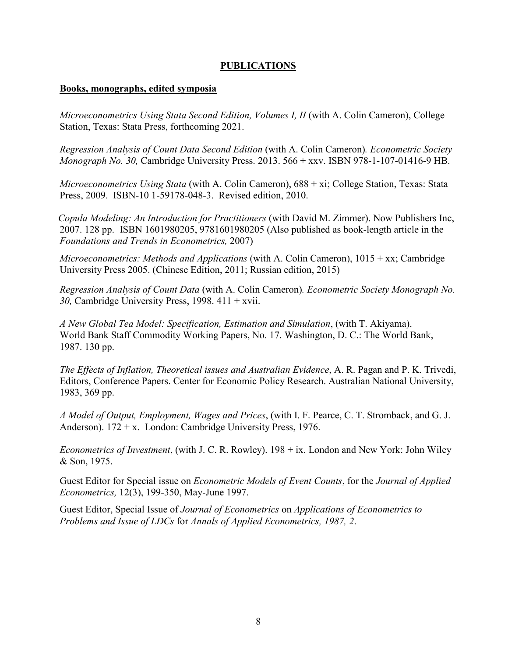## **PUBLICATIONS**

### **Books, monographs, edited symposia**

*Microeconometrics Using Stata Second Edition, Volumes I, II* (with A. Colin Cameron), College Station, Texas: Stata Press, forthcoming 2021.

*Regression Analysis of Count Data Second Edition* (with A. Colin Cameron)*. Econometric Society Monograph No. 30,* Cambridge University Press. 2013. 566 + xxv. ISBN 978-1-107-01416-9 HB.

*Microeconometrics Using Stata* (with A. Colin Cameron), 688 + xi; College Station, Texas: Stata Press, 2009. ISBN-10 1-59178-048-3. Revised edition, 2010.

 *Copula Modeling: An Introduction for Practitioners* (with David M. Zimmer). Now Publishers Inc, 2007. 128 pp. ISBN 1601980205, 9781601980205 (Also published as book-length article in the *Foundations and Trends in Econometrics,* 2007)

*Microeconometrics: Methods and Applications* (with A. Colin Cameron), 1015 + xx; Cambridge University Press 2005. (Chinese Edition, 2011; Russian edition, 2015)

*Regression Analysis of Count Data* (with A. Colin Cameron)*. Econometric Society Monograph No. 30,* Cambridge University Press, 1998. 411 + xvii.

*A New Global Tea Model: Specification, Estimation and Simulation*, (with T. Akiyama). World Bank Staff Commodity Working Papers, No. 17. Washington, D. C.: The World Bank, 1987. 130 pp.

*The Effects of Inflation, Theoretical issues and Australian Evidence*, A. R. Pagan and P. K. Trivedi, Editors, Conference Papers. Center for Economic Policy Research. Australian National University, 1983, 369 pp.

*A Model of Output, Employment, Wages and Prices*, (with I. F. Pearce, C. T. Stromback, and G. J. Anderson).  $172 + x$ . London: Cambridge University Press, 1976.

*Econometrics of Investment*, (with J. C. R. Rowley). 198 + ix. London and New York: John Wiley & Son, 1975.

Guest Editor for Special issue on *Econometric Models of Event Counts*, for the *Journal of Applied Econometrics,* 12(3), 199-350, May-June 1997.

Guest Editor, Special Issue of *Journal of Econometrics* on *Applications of Econometrics to Problems and Issue of LDCs* for *Annals of Applied Econometrics, 1987, 2*.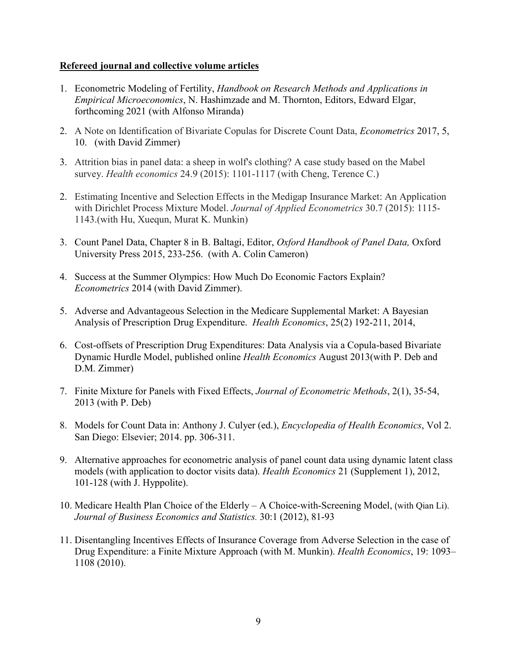### **Refereed journal and collective volume articles**

- 1. Econometric Modeling of Fertility, *Handbook on Research Methods and Applications in Empirical Microeconomics*, N. Hashimzade and M. Thornton, Editors, Edward Elgar, forthcoming 2021 (with Alfonso Miranda)
- 2. A Note on Identification of Bivariate Copulas for Discrete Count Data, *Econometrics* 2017, 5, 10. (with David Zimmer)
- 3. Attrition bias in panel data: a sheep in wolf's clothing? A case study based on the Mabel survey. *Health economics* 24.9 (2015): 1101-1117 (with Cheng, Terence C.)
- 2. Estimating Incentive and Selection Effects in the Medigap Insurance Market: An Application with Dirichlet Process Mixture Model. *Journal of Applied Econometrics* 30.7 (2015): 1115- 1143.(with Hu, Xuequn, Murat K. Munkin)
- 3. Count Panel Data, Chapter 8 in B. Baltagi, Editor, *Oxford Handbook of Panel Data,* Oxford University Press 2015, 233-256. (with A. Colin Cameron)
- 4. Success at the Summer Olympics: How Much Do Economic Factors Explain? *Econometrics* 2014 (with David Zimmer).
- 5. Adverse and Advantageous Selection in the Medicare Supplemental Market: A Bayesian Analysis of Prescription Drug Expenditure. *Health Economics*, 25(2) 192-211, 2014,
- 6. Cost-offsets of Prescription Drug Expenditures: Data Analysis via a Copula-based Bivariate Dynamic Hurdle Model, published online *Health Economics* August 2013(with P. Deb and D.M. Zimmer)
- 7. Finite Mixture for Panels with Fixed Effects, *Journal of Econometric Methods*, 2(1), 35-54, 2013 (with P. Deb)
- 8. Models for Count Data in: Anthony J. Culyer (ed.), *Encyclopedia of Health Economics*, Vol 2. San Diego: Elsevier; 2014. pp. 306-311.
- 9. Alternative approaches for econometric analysis of panel count data using dynamic latent class models (with application to doctor visits data). *Health Economics* 21 (Supplement 1), 2012, 101-128 (with J. Hyppolite).
- 10. Medicare Health Plan Choice of the Elderly A Choice-with-Screening Model, (with Qian Li). *Journal of Business Economics and Statistics.* 30:1 (2012), 81-93
- 11. Disentangling Incentives Effects of Insurance Coverage from Adverse Selection in the case of Drug Expenditure: a Finite Mixture Approach (with M. Munkin). *Health Economics*, 19: 1093– 1108 (2010).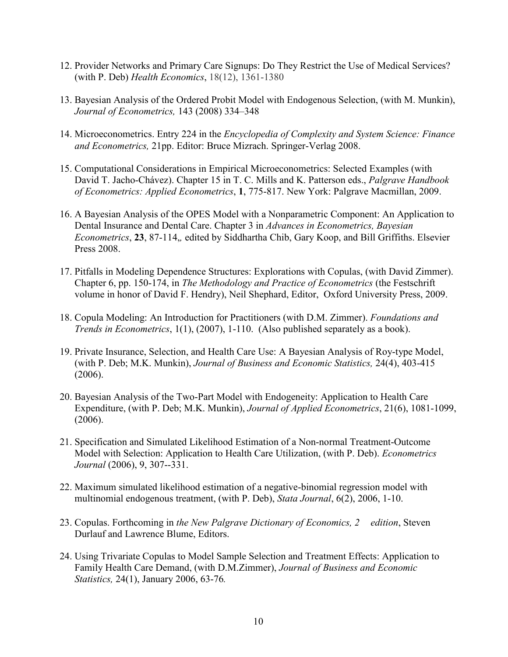- 12. Provider Networks and Primary Care Signups: Do They Restrict the Use of Medical Services? (with P. Deb) *Health Economics*, 18(12), 1361-1380
- 13. Bayesian Analysis of the Ordered Probit Model with Endogenous Selection, (with M. Munkin), *Journal of Econometrics,* 143 (2008) 334–348
- 14. Microeconometrics. Entry 224 in the *Encyclopedia of Complexity and System Science: Finance and Econometrics,* 21pp. Editor: Bruce Mizrach. Springer-Verlag 2008.
- 15. Computational Considerations in Empirical Microeconometrics: Selected Examples (with David T. Jacho-Chávez). Chapter 15 in T. C. Mills and K. Patterson eds., *Palgrave Handbook of Econometrics: Applied Econometrics*, **1**, 775-817. New York: Palgrave Macmillan, 2009.
- 16. A Bayesian Analysis of the OPES Model with a Nonparametric Component: An Application to Dental Insurance and Dental Care. Chapter 3 in *Advances in Econometrics, Bayesian Econometrics*, **23**, 87-114,*,* edited by Siddhartha Chib, Gary Koop, and Bill Griffiths. Elsevier Press 2008.
- 17. Pitfalls in Modeling Dependence Structures: Explorations with Copulas, (with David Zimmer). Chapter 6, pp. 150-174, in *The Methodology and Practice of Econometrics* (the Festschrift volume in honor of David F. Hendry), Neil Shephard, Editor, Oxford University Press, 2009.
- 18. Copula Modeling: An Introduction for Practitioners (with D.M. Zimmer). *Foundations and Trends in Econometrics*, 1(1), (2007), 1-110. (Also published separately as a book).
- 19. Private Insurance, Selection, and Health Care Use: A Bayesian Analysis of Roy-type Model, (with P. Deb; M.K. Munkin), *Journal of Business and Economic Statistics,* 24(4), 403-415 (2006).
- 20. Bayesian Analysis of the Two-Part Model with Endogeneity: Application to Health Care Expenditure, (with P. Deb; M.K. Munkin), *Journal of Applied Econometrics*, 21(6), 1081-1099, (2006).
- 21. Specification and Simulated Likelihood Estimation of a Non-normal Treatment-Outcome Model with Selection: Application to Health Care Utilization, (with P. Deb). *Econometrics Journal* (2006), 9, 307--331.
- 22. Maximum simulated likelihood estimation of a negative-binomial regression model with multinomial endogenous treatment, (with P. Deb), *Stata Journal*, 6(2), 2006, 1-10.
- 23. Copulas. Forthcoming in *the New Palgrave Dictionary of Economics, 2 edition*, Steven Durlauf and Lawrence Blume, Editors.
- 24. Using Trivariate Copulas to Model Sample Selection and Treatment Effects: Application to Family Health Care Demand, (with D.M.Zimmer), *Journal of Business and Economic Statistics,* 24(1), January 2006, 63-76*.*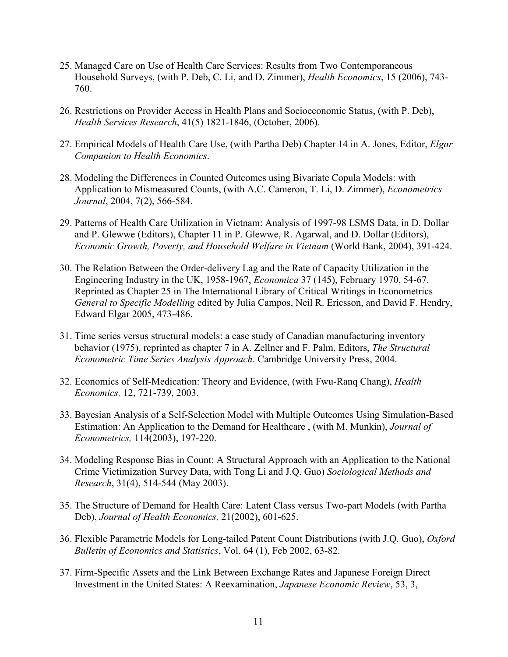- 25. Managed Care on Use of Health Care Services: Results from Two Contemporaneous Household Surveys, (with P. Deb, C. Li, and D. Zimmer), *Health Economics*, 15 (2006), 743- 760.
- 26. Restrictions on Provider Access in Health Plans and Socioeconomic Status, (with P. Deb), *Health Services Research*, 41(5) 1821-1846, (October, 2006).
- 27. Empirical Models of Health Care Use, (with Partha Deb) Chapter 14 in A. Jones, Editor, *Elgar Companion to Health Economics*.
- 28. Modeling the Differences in Counted Outcomes using Bivariate Copula Models: with Application to Mismeasured Counts, (with A.C. Cameron, T. Li, D. Zimmer), *Econometrics Journal*, 2004, 7(2), 566-584.
- 29. Patterns of Health Care Utilization in Vietnam: Analysis of 1997-98 LSMS Data, in D. Dollar and P. Glewwe (Editors), Chapter 11 in P. Glewwe, R. Agarwal, and D. Dollar (Editors), *Economic Growth, Poverty, and Household Welfare in Vietnam* (World Bank, 2004), 391-424.
- 30. The Relation Between the Order-delivery Lag and the Rate of Capacity Utilization in the Engineering Industry in the UK, 1958-1967, *Economica* 37 (145), February 1970, 54-67. Reprinted as Chapter 25 in The International Library of Critical Writings in Econometrics *General to Specific Modelling* edited by Julia Campos, Neil R. Ericsson, and David F. Hendry, Edward Elgar 2005, 473-486.
- 31. Time series versus structural models: a case study of Canadian manufacturing inventory behavior (1975), reprinted as chapter 7 in A. Zellner and F. Palm, Editors, *The Structural Econometric Time Series Analysis Approach*. Cambridge University Press, 2004.
- 32. Economics of Self-Medication: Theory and Evidence, (with Fwu-Ranq Chang), *Health Economics,* 12, 721-739, 2003.
- 33. Bayesian Analysis of a Self-Selection Model with Multiple Outcomes Using Simulation-Based Estimation: An Application to the Demand for Healthcare , (with M. Munkin), *Journal of Econometrics,* 114(2003), 197-220.
- 34. Modeling Response Bias in Count: A Structural Approach with an Application to the National Crime Victimization Survey Data, with Tong Li and J.Q. Guo) *Sociological Methods and Research*, 31(4), 514-544 (May 2003).
- 35. The Structure of Demand for Health Care: Latent Class versus Two-part Models (with Partha Deb), *Journal of Health Economics,* 21(2002), 601-625.
- 36. Flexible Parametric Models for Long-tailed Patent Count Distributions (with J.Q. Guo), *Oxford Bulletin of Economics and Statistics*, Vol. 64 (1), Feb 2002, 63-82.
- 37. Firm-Specific Assets and the Link Between Exchange Rates and Japanese Foreign Direct Investment in the United States: A Reexamination, *Japanese Economic Review*, 53, 3,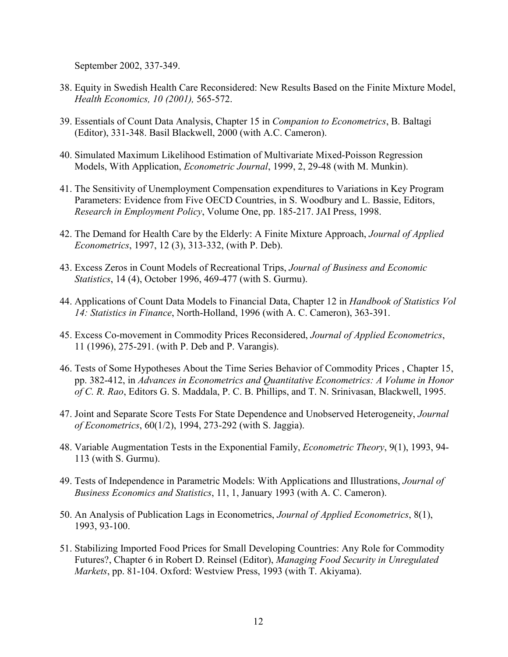September 2002, 337-349.

- 38. Equity in Swedish Health Care Reconsidered: New Results Based on the Finite Mixture Model, *Health Economics, 10 (2001),* 565-572.
- 39. Essentials of Count Data Analysis, Chapter 15 in *Companion to Econometrics*, B. Baltagi (Editor), 331-348. Basil Blackwell, 2000 (with A.C. Cameron).
- 40. Simulated Maximum Likelihood Estimation of Multivariate Mixed-Poisson Regression Models, With Application, *Econometric Journal*, 1999, 2, 29-48 (with M. Munkin).
- 41. The Sensitivity of Unemployment Compensation expenditures to Variations in Key Program Parameters: Evidence from Five OECD Countries, in S. Woodbury and L. Bassie, Editors, *Research in Employment Policy*, Volume One, pp. 185-217. JAI Press, 1998.
- 42. The Demand for Health Care by the Elderly: A Finite Mixture Approach, *Journal of Applied Econometrics*, 1997, 12 (3), 313-332, (with P. Deb).
- 43. Excess Zeros in Count Models of Recreational Trips, *Journal of Business and Economic Statistics*, 14 (4), October 1996, 469-477 (with S. Gurmu).
- 44. Applications of Count Data Models to Financial Data, Chapter 12 in *Handbook of Statistics Vol 14: Statistics in Finance*, North-Holland, 1996 (with A. C. Cameron), 363-391.
- 45. Excess Co-movement in Commodity Prices Reconsidered, *Journal of Applied Econometrics*, 11 (1996), 275-291. (with P. Deb and P. Varangis).
- 46. Tests of Some Hypotheses About the Time Series Behavior of Commodity Prices , Chapter 15, pp. 382-412, in *Advances in Econometrics and Quantitative Econometrics: A Volume in Honor of C. R. Rao*, Editors G. S. Maddala, P. C. B. Phillips, and T. N. Srinivasan, Blackwell, 1995.
- 47. Joint and Separate Score Tests For State Dependence and Unobserved Heterogeneity, *Journal of Econometrics*, 60(1/2), 1994, 273-292 (with S. Jaggia).
- 48. Variable Augmentation Tests in the Exponential Family, *Econometric Theory*, 9(1), 1993, 94- 113 (with S. Gurmu).
- 49. Tests of Independence in Parametric Models: With Applications and Illustrations, *Journal of Business Economics and Statistics*, 11, 1, January 1993 (with A. C. Cameron).
- 50. An Analysis of Publication Lags in Econometrics, *Journal of Applied Econometrics*, 8(1), 1993, 93-100.
- 51. Stabilizing Imported Food Prices for Small Developing Countries: Any Role for Commodity Futures?, Chapter 6 in Robert D. Reinsel (Editor), *Managing Food Security in Unregulated Markets*, pp. 81-104. Oxford: Westview Press, 1993 (with T. Akiyama).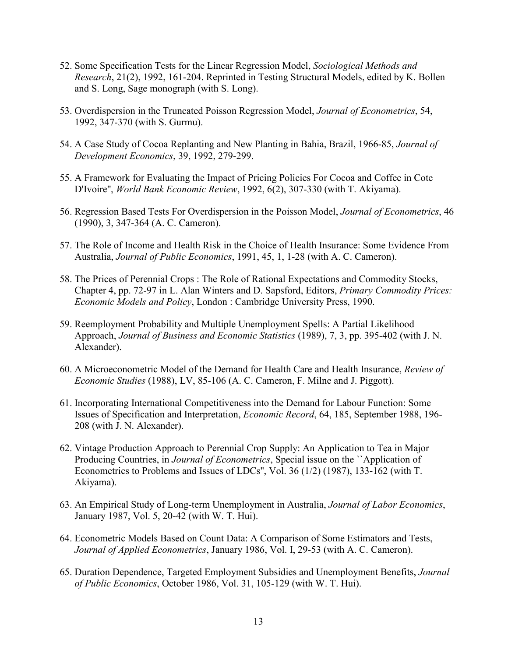- 52. Some Specification Tests for the Linear Regression Model, *Sociological Methods and Research*, 21(2), 1992, 161-204. Reprinted in Testing Structural Models, edited by K. Bollen and S. Long, Sage monograph (with S. Long).
- 53. Overdispersion in the Truncated Poisson Regression Model, *Journal of Econometrics*, 54, 1992, 347-370 (with S. Gurmu).
- 54. A Case Study of Cocoa Replanting and New Planting in Bahia, Brazil, 1966-85, *Journal of Development Economics*, 39, 1992, 279-299.
- 55. A Framework for Evaluating the Impact of Pricing Policies For Cocoa and Coffee in Cote D'Ivoire'', *World Bank Economic Review*, 1992, 6(2), 307-330 (with T. Akiyama).
- 56. Regression Based Tests For Overdispersion in the Poisson Model, *Journal of Econometrics*, 46 (1990), 3, 347-364 (A. C. Cameron).
- 57. The Role of Income and Health Risk in the Choice of Health Insurance: Some Evidence From Australia, *Journal of Public Economics*, 1991, 45, 1, 1-28 (with A. C. Cameron).
- 58. The Prices of Perennial Crops : The Role of Rational Expectations and Commodity Stocks, Chapter 4, pp. 72-97 in L. Alan Winters and D. Sapsford, Editors, *Primary Commodity Prices: Economic Models and Policy*, London : Cambridge University Press, 1990.
- 59. Reemployment Probability and Multiple Unemployment Spells: A Partial Likelihood Approach, *Journal of Business and Economic Statistics* (1989), 7, 3, pp. 395-402 (with J. N. Alexander).
- 60. A Microeconometric Model of the Demand for Health Care and Health Insurance, *Review of Economic Studies* (1988), LV, 85-106 (A. C. Cameron, F. Milne and J. Piggott).
- 61. Incorporating International Competitiveness into the Demand for Labour Function: Some Issues of Specification and Interpretation, *Economic Record*, 64, 185, September 1988, 196- 208 (with J. N. Alexander).
- 62. Vintage Production Approach to Perennial Crop Supply: An Application to Tea in Major Producing Countries, in *Journal of Econometrics*, Special issue on the ``Application of Econometrics to Problems and Issues of LDCs'', Vol. 36 (1/2) (1987), 133-162 (with T. Akiyama).
- 63. An Empirical Study of Long-term Unemployment in Australia, *Journal of Labor Economics*, January 1987, Vol. 5, 20-42 (with W. T. Hui).
- 64. Econometric Models Based on Count Data: A Comparison of Some Estimators and Tests, *Journal of Applied Econometrics*, January 1986, Vol. I, 29-53 (with A. C. Cameron).
- 65. Duration Dependence, Targeted Employment Subsidies and Unemployment Benefits, *Journal of Public Economics*, October 1986, Vol. 31, 105-129 (with W. T. Hui).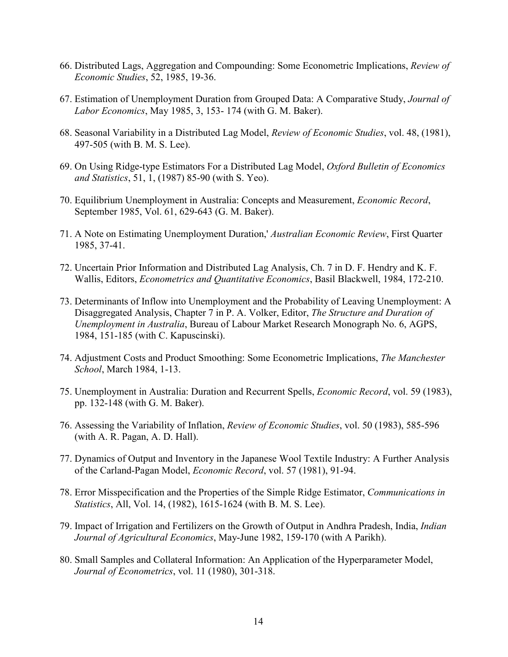- 66. Distributed Lags, Aggregation and Compounding: Some Econometric Implications, *Review of Economic Studies*, 52, 1985, 19-36.
- 67. Estimation of Unemployment Duration from Grouped Data: A Comparative Study, *Journal of Labor Economics*, May 1985, 3, 153- 174 (with G. M. Baker).
- 68. Seasonal Variability in a Distributed Lag Model, *Review of Economic Studies*, vol. 48, (1981), 497-505 (with B. M. S. Lee).
- 69. On Using Ridge-type Estimators For a Distributed Lag Model, *Oxford Bulletin of Economics and Statistics*, 51, 1, (1987) 85-90 (with S. Yeo).
- 70. Equilibrium Unemployment in Australia: Concepts and Measurement, *Economic Record*, September 1985, Vol. 61, 629-643 (G. M. Baker).
- 71. A Note on Estimating Unemployment Duration,' *Australian Economic Review*, First Quarter 1985, 37-41.
- 72. Uncertain Prior Information and Distributed Lag Analysis, Ch. 7 in D. F. Hendry and K. F. Wallis, Editors, *Econometrics and Quantitative Economics*, Basil Blackwell, 1984, 172-210.
- 73. Determinants of Inflow into Unemployment and the Probability of Leaving Unemployment: A Disaggregated Analysis, Chapter 7 in P. A. Volker, Editor, *The Structure and Duration of Unemployment in Australia*, Bureau of Labour Market Research Monograph No. 6, AGPS, 1984, 151-185 (with C. Kapuscinski).
- 74. Adjustment Costs and Product Smoothing: Some Econometric Implications, *The Manchester School*, March 1984, 1-13.
- 75. Unemployment in Australia: Duration and Recurrent Spells, *Economic Record*, vol. 59 (1983), pp. 132-148 (with G. M. Baker).
- 76. Assessing the Variability of Inflation, *Review of Economic Studies*, vol. 50 (1983), 585-596 (with A. R. Pagan, A. D. Hall).
- 77. Dynamics of Output and Inventory in the Japanese Wool Textile Industry: A Further Analysis of the Carland-Pagan Model, *Economic Record*, vol. 57 (1981), 91-94.
- 78. Error Misspecification and the Properties of the Simple Ridge Estimator, *Communications in Statistics*, All, Vol. 14, (1982), 1615-1624 (with B. M. S. Lee).
- 79. Impact of Irrigation and Fertilizers on the Growth of Output in Andhra Pradesh, India, *Indian Journal of Agricultural Economics*, May-June 1982, 159-170 (with A Parikh).
- 80. Small Samples and Collateral Information: An Application of the Hyperparameter Model, *Journal of Econometrics*, vol. 11 (1980), 301-318.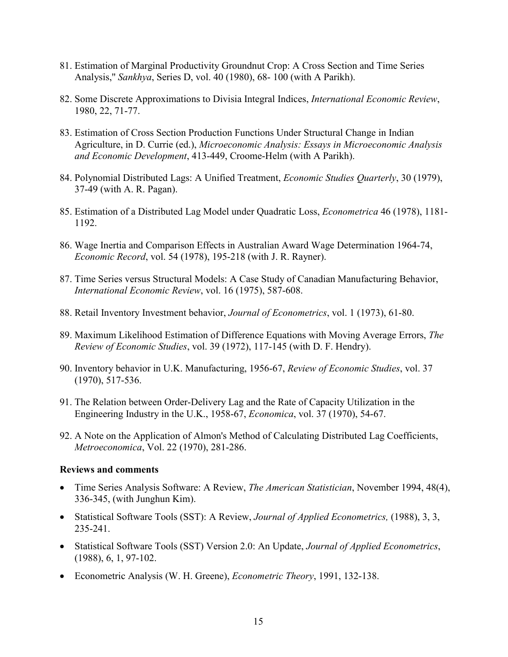- 81. Estimation of Marginal Productivity Groundnut Crop: A Cross Section and Time Series Analysis,'' *Sankhya*, Series D, vol. 40 (1980), 68- 100 (with A Parikh).
- 82. Some Discrete Approximations to Divisia Integral Indices, *International Economic Review*, 1980, 22, 71-77.
- 83. Estimation of Cross Section Production Functions Under Structural Change in Indian Agriculture, in D. Currie (ed.), *Microeconomic Analysis: Essays in Microeconomic Analysis and Economic Development*, 413-449, Croome-Helm (with A Parikh).
- 84. Polynomial Distributed Lags: A Unified Treatment, *Economic Studies Quarterly*, 30 (1979), 37-49 (with A. R. Pagan).
- 85. Estimation of a Distributed Lag Model under Quadratic Loss, *Econometrica* 46 (1978), 1181- 1192.
- 86. Wage Inertia and Comparison Effects in Australian Award Wage Determination 1964-74, *Economic Record*, vol. 54 (1978), 195-218 (with J. R. Rayner).
- 87. Time Series versus Structural Models: A Case Study of Canadian Manufacturing Behavior, *International Economic Review*, vol. 16 (1975), 587-608.
- 88. Retail Inventory Investment behavior, *Journal of Econometrics*, vol. 1 (1973), 61-80.
- 89. Maximum Likelihood Estimation of Difference Equations with Moving Average Errors, *The Review of Economic Studies*, vol. 39 (1972), 117-145 (with D. F. Hendry).
- 90. Inventory behavior in U.K. Manufacturing, 1956-67, *Review of Economic Studies*, vol. 37 (1970), 517-536.
- 91. The Relation between Order-Delivery Lag and the Rate of Capacity Utilization in the Engineering Industry in the U.K., 1958-67, *Economica*, vol. 37 (1970), 54-67.
- 92. A Note on the Application of Almon's Method of Calculating Distributed Lag Coefficients, *Metroeconomica*, Vol. 22 (1970), 281-286.

### **Reviews and comments**

- Time Series Analysis Software: A Review, *The American Statistician*, November 1994, 48(4), 336-345, (with Junghun Kim).
- Statistical Software Tools (SST): A Review, *Journal of Applied Econometrics,* (1988), 3, 3, 235-241.
- Statistical Software Tools (SST) Version 2.0: An Update, *Journal of Applied Econometrics*, (1988), 6, 1, 97-102.
- Econometric Analysis (W. H. Greene), *Econometric Theory*, 1991, 132-138.